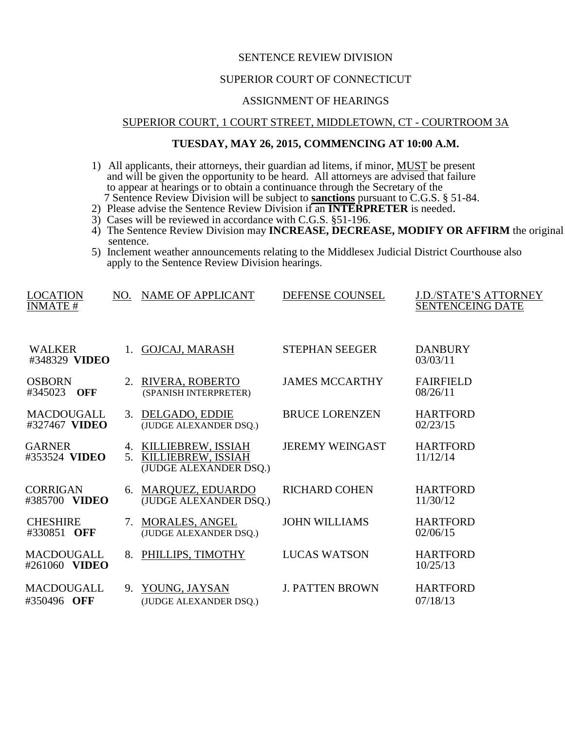# SENTENCE REVIEW DIVISION

## SUPERIOR COURT OF CONNECTICUT

#### ASSIGNMENT OF HEARINGS

## SUPERIOR COURT, 1 COURT STREET, MIDDLETOWN, CT - COURTROOM 3A

# **TUESDAY, MAY 26, 2015, COMMENCING AT 10:00 A.M.**

- 1) All applicants, their attorneys, their guardian ad litems, if minor, **MUST** be present and will be given the opportunity to be heard. All attorneys are advised that failure to appear at hearings or to obtain a continuance through the Secretary of the 7 Sentence Review Division will be subject to **sanctions** pursuant to C.G.S. § 51-84.
- 2) Please advise the Sentence Review Division if an **INTERPRETER** is needed.
- 3) Cases will be reviewed in accordance with C.G.S. §51-196.
- 4) The Sentence Review Division may **INCREASE, DECREASE, MODIFY OR AFFIRM** the original sentence.
- 5) Inclement weather announcements relating to the Middlesex Judicial District Courthouse also apply to the Sentence Review Division hearings.

| <b>LOCATION</b><br><b>INMATE#</b> | NO.            | <b>NAME OF APPLICANT</b>                                              | DEFENSE COUNSEL        | <b>J.D./STATE'S ATTORNEY</b><br><b>SENTENCEING DATE</b> |
|-----------------------------------|----------------|-----------------------------------------------------------------------|------------------------|---------------------------------------------------------|
| <b>WALKER</b><br>#348329 VIDEO    |                | <b>GOJCAJ, MARASH</b>                                                 | <b>STEPHAN SEEGER</b>  | <b>DANBURY</b><br>03/03/11                              |
| <b>OSBORN</b><br>#345023<br>OFF   | 2.             | RIVERA, ROBERTO<br>(SPANISH INTERPRETER)                              | <b>JAMES MCCARTHY</b>  | <b>FAIRFIELD</b><br>08/26/11                            |
| MACDOUGALL<br>#327467 VIDEO       |                | 3. DELGADO, EDDIE<br>(JUDGE ALEXANDER DSQ.)                           | <b>BRUCE LORENZEN</b>  | <b>HARTFORD</b><br>02/23/15                             |
| <b>GARNER</b><br>#353524 VIDEO    | 5 <sub>1</sub> | 4. KILLIEBREW, ISSIAH<br>KILLIEBREW, ISSIAH<br>(JUDGE ALEXANDER DSQ.) | <b>JEREMY WEINGAST</b> | <b>HARTFORD</b><br>11/12/14                             |
| <b>CORRIGAN</b><br>#385700 VIDEO  | 6.             | MARQUEZ, EDUARDO<br>(JUDGE ALEXANDER DSQ.)                            | <b>RICHARD COHEN</b>   | <b>HARTFORD</b><br>11/30/12                             |
| <b>CHESHIRE</b><br>#330851 OFF    | 7.             | <b>MORALES, ANGEL</b><br>(JUDGE ALEXANDER DSQ.)                       | <b>JOHN WILLIAMS</b>   | <b>HARTFORD</b><br>02/06/15                             |
| MACDOUGALL<br>#261060 VIDEO       | 8.             | PHILLIPS, TIMOTHY                                                     | <b>LUCAS WATSON</b>    | <b>HARTFORD</b><br>10/25/13                             |
| MACDOUGALL<br>#350496 OFF         | 9.             | YOUNG, JAYSAN<br>(JUDGE ALEXANDER DSQ.)                               | <b>J. PATTEN BROWN</b> | <b>HARTFORD</b><br>07/18/13                             |